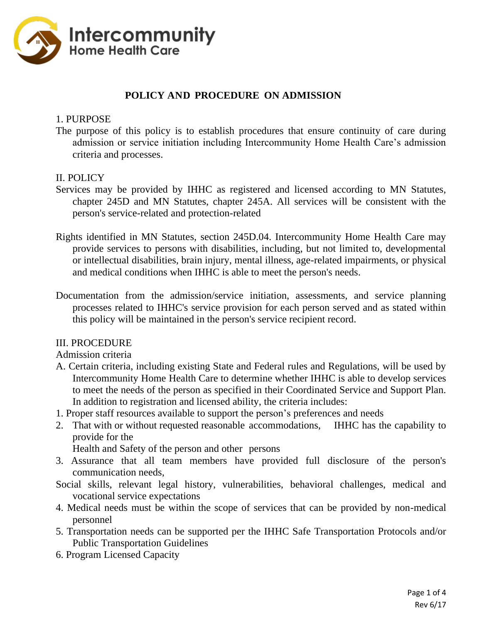

## **POLICY AND PROCEDURE ON ADMISSION**

### 1. PURPOSE

The purpose of this policy is to establish procedures that ensure continuity of care during admission or service initiation including Intercommunity Home Health Care's admission criteria and processes.

### II. POLICY

- Services may be provided by IHHC as registered and licensed according to MN Statutes, chapter 245D and MN Statutes, chapter 245A. All services will be consistent with the person's service-related and protection-related
- Rights identified in MN Statutes, section 245D.04. Intercommunity Home Health Care may provide services to persons with disabilities, including, but not limited to, developmental or intellectual disabilities, brain injury, mental illness, age-related impairments, or physical and medical conditions when IHHC is able to meet the person's needs.
- Documentation from the admission/service initiation, assessments, and service planning processes related to IHHC's service provision for each person served and as stated within this policy will be maintained in the person's service recipient record.

### III. PROCEDURE

Admission criteria

- A. Certain criteria, including existing State and Federal rules and Regulations, will be used by Intercommunity Home Health Care to determine whether IHHC is able to develop services to meet the needs of the person as specified in their Coordinated Service and Support Plan. In addition to registration and licensed ability, the criteria includes:
- 1. Proper staff resources available to support the person's preferences and needs
- 2. That with or without requested reasonable accommodations, IHHC has the capability to provide for the

Health and Safety of the person and other persons

- 3. Assurance that all team members have provided full disclosure of the person's communication needs,
- Social skills, relevant legal history, vulnerabilities, behavioral challenges, medical and vocational service expectations
- 4. Medical needs must be within the scope of services that can be provided by non-medical personnel
- 5. Transportation needs can be supported per the IHHC Safe Transportation Protocols and/or Public Transportation Guidelines
- 6. Program Licensed Capacity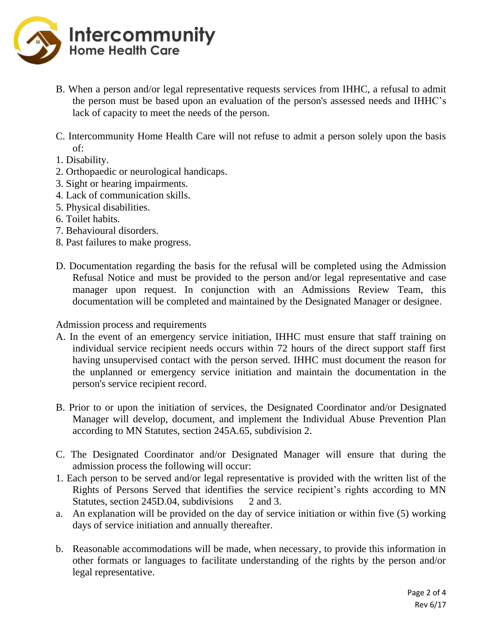

- B. When a person and/or legal representative requests services from IHHC, a refusal to admit the person must be based upon an evaluation of the person's assessed needs and IHHC's lack of capacity to meet the needs of the person.
- C. Intercommunity Home Health Care will not refuse to admit a person solely upon the basis of:
- 1. Disability.
- 2. Orthopaedic or neurological handicaps.
- 3. Sight or hearing impairments.
- 4. Lack of communication skills.
- 5. Physical disabilities.
- 6. Toilet habits.
- 7. Behavioural disorders.
- 8. Past failures to make progress.
- D. Documentation regarding the basis for the refusal will be completed using the Admission Refusal Notice and must be provided to the person and/or legal representative and case manager upon request. In conjunction with an Admissions Review Team, this documentation will be completed and maintained by the Designated Manager or designee.

Admission process and requirements

- A. In the event of an emergency service initiation, IHHC must ensure that staff training on individual service recipient needs occurs within 72 hours of the direct support staff first having unsupervised contact with the person served. IHHC must document the reason for the unplanned or emergency service initiation and maintain the documentation in the person's service recipient record.
- B. Prior to or upon the initiation of services, the Designated Coordinator and/or Designated Manager will develop, document, and implement the Individual Abuse Prevention Plan according to MN Statutes, section 245A.65, subdivision 2.
- C. The Designated Coordinator and/or Designated Manager will ensure that during the admission process the following will occur:
- 1. Each person to be served and/or legal representative is provided with the written list of the Rights of Persons Served that identifies the service recipient's rights according to MN Statutes, section 245D.04, subdivisions 2 and 3.
- a. An explanation will be provided on the day of service initiation or within five (5) working days of service initiation and annually thereafter.
- b. Reasonable accommodations will be made, when necessary, to provide this information in other formats or languages to facilitate understanding of the rights by the person and/or legal representative.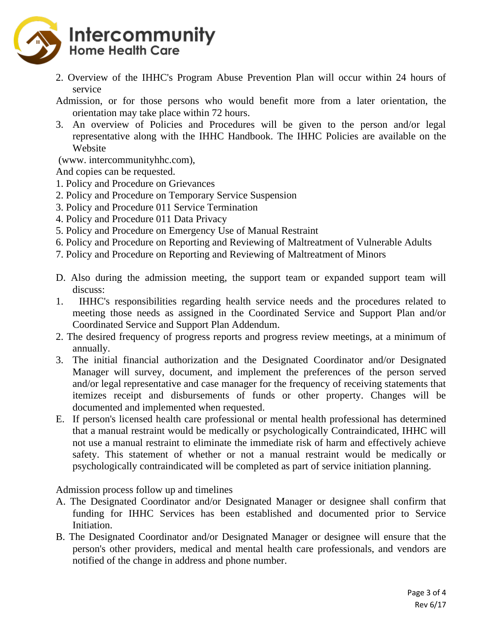

2. Overview of the IHHC's Program Abuse Prevention Plan will occur within 24 hours of service

Admission, or for those persons who would benefit more from a later orientation, the orientation may take place within 72 hours.

3. An overview of Policies and Procedures will be given to the person and/or legal representative along with the IHHC Handbook. The IHHC Policies are available on the Website

(www. intercommunityhhc.com),

And copies can be requested.

- 1. Policy and Procedure on Grievances
- 2. Policy and Procedure on Temporary Service Suspension
- 3. Policy and Procedure 011 Service Termination
- 4. Policy and Procedure 011 Data Privacy
- 5. Policy and Procedure on Emergency Use of Manual Restraint
- 6. Policy and Procedure on Reporting and Reviewing of Maltreatment of Vulnerable Adults
- 7. Policy and Procedure on Reporting and Reviewing of Maltreatment of Minors
- D. Also during the admission meeting, the support team or expanded support team will discuss:
- 1. IHHC's responsibilities regarding health service needs and the procedures related to meeting those needs as assigned in the Coordinated Service and Support Plan and/or Coordinated Service and Support Plan Addendum.
- 2. The desired frequency of progress reports and progress review meetings, at a minimum of annually.
- 3. The initial financial authorization and the Designated Coordinator and/or Designated Manager will survey, document, and implement the preferences of the person served and/or legal representative and case manager for the frequency of receiving statements that itemizes receipt and disbursements of funds or other property. Changes will be documented and implemented when requested.
- E. If person's licensed health care professional or mental health professional has determined that a manual restraint would be medically or psychologically Contraindicated, IHHC will not use a manual restraint to eliminate the immediate risk of harm and effectively achieve safety. This statement of whether or not a manual restraint would be medically or psychologically contraindicated will be completed as part of service initiation planning.

Admission process follow up and timelines

- A. The Designated Coordinator and/or Designated Manager or designee shall confirm that funding for IHHC Services has been established and documented prior to Service Initiation.
- B. The Designated Coordinator and/or Designated Manager or designee will ensure that the person's other providers, medical and mental health care professionals, and vendors are notified of the change in address and phone number.